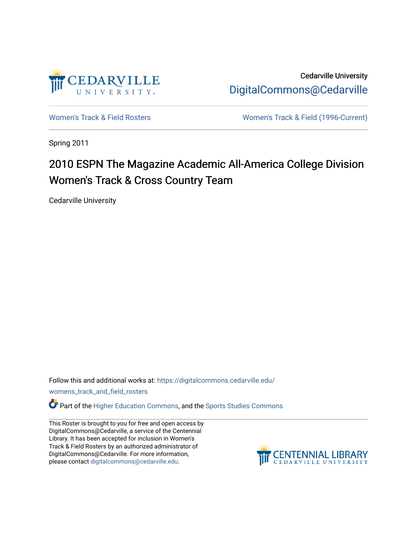

Cedarville University [DigitalCommons@Cedarville](https://digitalcommons.cedarville.edu/) 

[Women's Track & Field Rosters](https://digitalcommons.cedarville.edu/womens_track_and_field_rosters) [Women's Track & Field \(1996-Current\)](https://digitalcommons.cedarville.edu/womens_track_and_field) 

Spring 2011

# 2010 ESPN The Magazine Academic All-America College Division Women's Track & Cross Country Team

Cedarville University

Follow this and additional works at: [https://digitalcommons.cedarville.edu/](https://digitalcommons.cedarville.edu/womens_track_and_field_rosters?utm_source=digitalcommons.cedarville.edu%2Fwomens_track_and_field_rosters%2F57&utm_medium=PDF&utm_campaign=PDFCoverPages)

[womens\\_track\\_and\\_field\\_rosters](https://digitalcommons.cedarville.edu/womens_track_and_field_rosters?utm_source=digitalcommons.cedarville.edu%2Fwomens_track_and_field_rosters%2F57&utm_medium=PDF&utm_campaign=PDFCoverPages) 

**C** Part of the [Higher Education Commons,](http://network.bepress.com/hgg/discipline/1245?utm_source=digitalcommons.cedarville.edu%2Fwomens_track_and_field_rosters%2F57&utm_medium=PDF&utm_campaign=PDFCoverPages) and the Sports Studies Commons

This Roster is brought to you for free and open access by DigitalCommons@Cedarville, a service of the Centennial Library. It has been accepted for inclusion in Women's Track & Field Rosters by an authorized administrator of DigitalCommons@Cedarville. For more information, please contact [digitalcommons@cedarville.edu](mailto:digitalcommons@cedarville.edu).